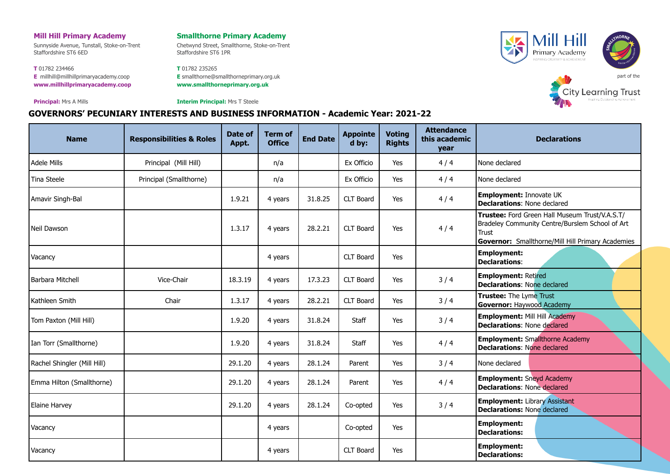## **Mill Hill Primary Academy**

Sunnyside Avenue, Tunstall, Stoke-on-Trent Staffordshire ST6 6ED

**T** 01782 234466 **E** [millhill@millhillprimaryacademy.coop](mailto:millhill@millhillprimaryacademy.coop) **[www.millhillprimaryacademy.coop](http://www.millhillprimaryacademy.coop/)**

**Principal:** Mrs A Mills

**Smallthorne Primary Academy**

Chetwynd Street, Smallthorne, Stoke-on-Trent Staffordshire ST6 1PR

**T** 01782 235265 **E** [smallthorne@smallthorneprimary.org.uk](mailto:smallthorne@smallthorneprimary.org.uk) **[www.smallthorneprimary.org.uk](http://www.smallthorneprimary.org.uk/)**





**Interim Principal:** Mrs T Steele

## **GOVERNORS' PECUNIARY INTERESTS AND BUSINESS INFORMATION - Academic Year: 2021-22**

| <b>Name</b>                 | <b>Responsibilities &amp; Roles</b> | Date of<br>Appt. | <b>Term of</b><br><b>Office</b> | <b>End Date</b> | <b>Appointe</b><br>d by: | <b>Voting</b><br><b>Rights</b> | <b>Attendance</b><br>this academic<br>year | <b>Declarations</b>                                                                                                                                             |
|-----------------------------|-------------------------------------|------------------|---------------------------------|-----------------|--------------------------|--------------------------------|--------------------------------------------|-----------------------------------------------------------------------------------------------------------------------------------------------------------------|
| <b>Adele Mills</b>          | Principal (Mill Hill)               |                  | n/a                             |                 | Ex Officio               | Yes                            | 4/4                                        | None declared                                                                                                                                                   |
| Tina Steele                 | Principal (Smallthorne)             |                  | n/a                             |                 | Ex Officio               | Yes                            | 4/4                                        | None declared                                                                                                                                                   |
| Amavir Singh-Bal            |                                     | 1.9.21           | 4 years                         | 31.8.25         | CLT Board                | Yes                            | 4/4                                        | Employment: Innovate UK<br><b>Declarations: None declared</b>                                                                                                   |
| Neil Dawson                 |                                     | 1.3.17           | 4 years                         | 28.2.21         | CLT Board                | Yes                            | 4/4                                        | Trustee: Ford Green Hall Museum Trust/V.A.S.T/<br>Bradeley Community Centre/Burslem School of Art<br>Trust<br>Governor: Smallthorne/Mill Hill Primary Academies |
| Vacancy                     |                                     |                  | 4 years                         |                 | CLT Board                | Yes                            |                                            | <b>Employment:</b><br><b>Declarations:</b>                                                                                                                      |
| Barbara Mitchell            | Vice-Chair                          | 18.3.19          | 4 years                         | 17.3.23         | <b>CLT Board</b>         | Yes                            | 3/4                                        | <b>Employment: Retired</b><br><b>Declarations: None declared</b>                                                                                                |
| Kathleen Smith              | Chair                               | 1.3.17           | 4 years                         | 28.2.21         | CLT Board                | Yes                            | 3/4                                        | Trustee: The Lyme Trust<br><b>Governor: Haywood Academy</b>                                                                                                     |
| Tom Paxton (Mill Hill)      |                                     | 1.9.20           | 4 years                         | 31.8.24         | <b>Staff</b>             | Yes                            | 3/4                                        | <b>Employment: Mill Hill Academy</b><br><b>Declarations: None declared</b>                                                                                      |
| Ian Torr (Smallthorne)      |                                     | 1.9.20           | 4 years                         | 31.8.24         | Staff                    | Yes                            | 4/4                                        | <b>Employment: Smallthorne Academy</b><br><b>Declarations: None declared</b>                                                                                    |
| Rachel Shingler (Mill Hill) |                                     | 29.1.20          | 4 years                         | 28.1.24         | Parent                   | Yes                            | 3/4                                        | None declared                                                                                                                                                   |
| Emma Hilton (Smallthorne)   |                                     | 29.1.20          | 4 years                         | 28.1.24         | Parent                   | Yes                            | 4/4                                        | <b>Employment: Sneyd Academy</b><br><b>Declarations: None declared</b>                                                                                          |
| Elaine Harvey               |                                     | 29.1.20          | 4 years                         | 28.1.24         | Co-opted                 | Yes                            | 3/4                                        | <b>Employment: Library Assistant</b><br><b>Declarations: None declared</b>                                                                                      |
| Vacancy                     |                                     |                  | 4 years                         |                 | Co-opted                 | Yes                            |                                            | <b>Employment:</b><br><b>Declarations:</b>                                                                                                                      |
| Vacancy                     |                                     |                  | 4 years                         |                 | <b>CLT Board</b>         | Yes                            |                                            | <b>Employment:</b><br><b>Declarations:</b>                                                                                                                      |